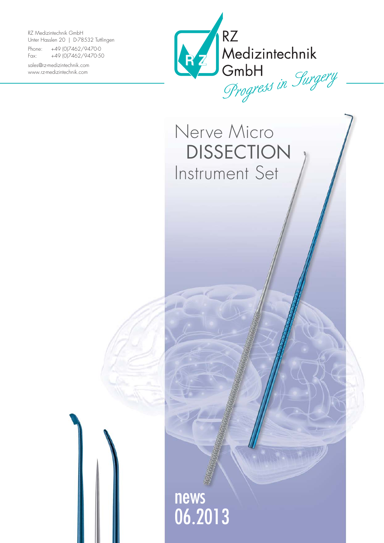RZ Medizintechnik GmbH Unter Hasslen 20 | D-78532 Tuttlingen

Phone: +49 (0)7462/9470-0 Fax: +49 (0)7462/9470-50

sales@rz-medizintechnik.com www.rz-medizintechnik.com



Nerve Micro DISSECTION Instrument Set

news 06.2013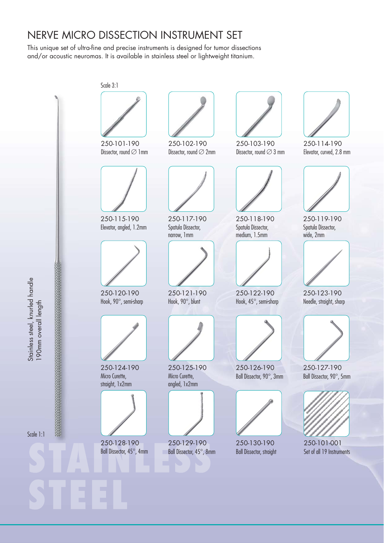## NERVE MICRO DISSECTION INSTRUMENT SET

This unique set of ultra-fine and precise instruments is designed for tumor dissections and/or acoustic neuromas. It is available in stainless steel or lightweight titanium.

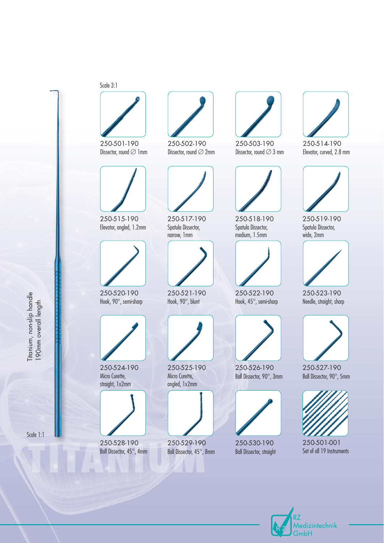## Scale 3:1



250-501-190 Dissector, round  $\varnothing$  1mm



250-515-190 Elevator, angled, 1.2mm



250-520-190 Hook, 90°, semi-sharp

Titanium, non-slip handle 190mm overall length

Titanium, non-slip handle<br>190mm overall length

Scale 1:1



250-524-190 Micro Curette, straight, 1x2mm



Ball Dissector, 45°, 4mm



250-502-190 Dissector, round  $\varnothing$  2mm



250-517-190 Spatula Dissector, narrow, 1mm



250-521-190 Hook, 90°, blunt



250-525-190 Micro Curette, angled, 1x2mm



250-529-190 Ball Dissector, 45°, 8mm



250-503-190 Dissector, round  $\varnothing$  3 mm



250-518-190 Spatula Dissector, medium, 1.5mm



250-522-190 Hook, 45°, semi-sharp



250-526-190 Ball Dissector, 90°, 3mm



250-530-190 Ball Dissector, straight



250-514-190 Elevator, curved, 2.8 mm



250-519-190 Spatula Dissector, wide, 2mm



250-523-190 Needle, straight, sharp



250-527-190 Ball Dissector, 90°, 5mm



250-501-001 Set of all 19 Instruments